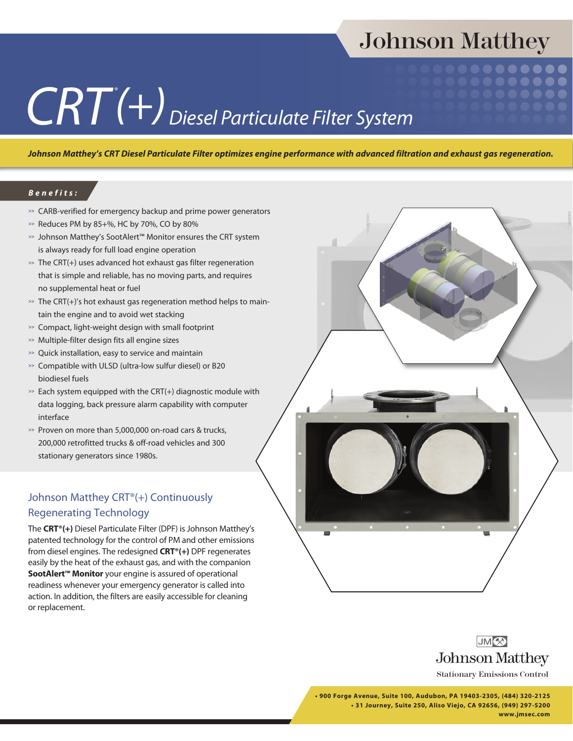## Johnson Matthey

# $CRT(+)$ Diesel Particulate Filter System

*Johnson Matthey's CRT Diesel Particulate Filter optimizes engine performance with advanced filtration and exhaust gas regeneration.*

#### *Benefits:*

- **>>** CARB-verified for emergency backup and prime power generators
- **>>** Reduces PM by 85+%, HC by 70%, CO by 80%
- **>>** Johnson Matthey's SootAlert™ Monitor ensures the CRT system is always ready for full load engine operation
- **>>** The CRT(+) uses advanced hot exhaust gas filter regeneration that is simple and reliable, has no moving parts, and requires no supplemental heat or fuel
- **>>** The CRT(+)'s hot exhaust gas regeneration method helps to maintain the engine and to avoid wet stacking
- **>>** Compact, light-weight design with small footprint
- **>>** Multiple-filter design fits all engine sizes
- **>>** Quick installation, easy to service and maintain
- **>>** Compatible with ULSD (ultra-low sulfur diesel) or B20 biodiesel fuels
- **>>** Each system equipped with the CRT(+) diagnostic module with data logging, back pressure alarm capability with computer interface
- **>>** Proven on more than 5,000,000 on-road cars & trucks, 200,000 retrofitted trucks & off-road vehicles and 300 stationary generators since 1980s.

#### Johnson Matthey CRT®(+) Continuously Regenerating Technology

The **CRT®(+)** Diesel Particulate Filter (DPF) is Johnson Matthey's patented technology for the control of PM and other emissions from diesel engines. The redesigned **CRT®(+)** DPF regenerates easily by the heat of the exhaust gas, and with the companion **SootAlert™ Monitor** your engine is assured of operational readiness whenever your emergency generator is called into action. In addition, the filters are easily accessible for cleaning or replacement.





Stationary Emissions Control

**• 900 Forge Avenue, Suite 100, Audubon, PA 19403-2305, (484) 320-2125 • 31 Journey, Suite 250, Aliso Viejo, CA 92656, (949) 297-5200 www.jmsec.com**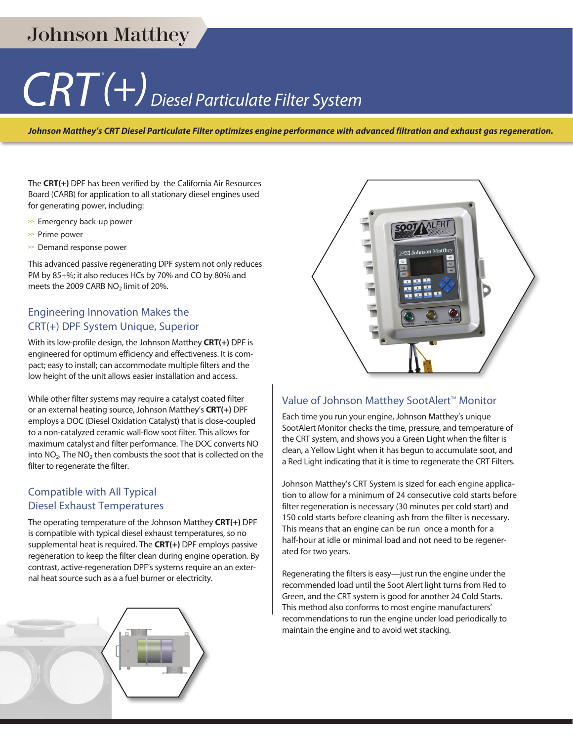## Johnson Matthey

# $CRT$ <sup><sup>(+)</sup> Diesel Particulate Filter System</sup>

*Johnson Matthey's CRT Diesel Particulate Filter optimizes engine performance with advanced filtration and exhaust gas regeneration.*

The **CRT(+)** DPF has been verified by the California Air Resources Board (CARB) for application to all stationary diesel engines used for generating power, including:

- **>>** Emergency back-up power
- **>>** Prime power
- **>>** Demand response power

This advanced passive regenerating DPF system not only reduces PM by 85+%; it also reduces HCs by 70% and CO by 80% and meets the 2009 CARB  $NO<sub>2</sub>$  limit of 20%.

#### Engineering Innovation Makes the CRT(+) DPF System Unique, Superior

With its low-profile design, the Johnson Matthey **CRT(+)** DPF is engineered for optimum efficiency and effectiveness. It is compact; easy to install; can accommodate multiple filters and the low height of the unit allows easier installation and access.

While other filter systems may require a catalyst coated filter or an external heating source, Johnson Matthey's **CRT(+)** DPF employs a DOC (Diesel Oxidation Catalyst) that is close-coupled to a non-catalyzed ceramic wall-flow soot filter. This allows for maximum catalyst and filter performance. The DOC converts NO into  $NO<sub>2</sub>$ . The  $NO<sub>2</sub>$  then combusts the soot that is collected on the filter to regenerate the filter.

#### Compatible with All Typical Diesel Exhaust Temperatures

The operating temperature of the Johnson Matthey **CRT(+)** DPF is compatible with typical diesel exhaust temperatures, so no supplemental heat is required. The **CRT(+)** DPF employs passive regeneration to keep the filter clean during engine operation. By contrast, active-regeneration DPF's systems require an an external heat source such as a a fuel burner or electricity.





#### Value of Johnson Matthey SootAlert<sup>™</sup> Monitor

Each time you run your engine, Johnson Matthey's unique SootAlert Monitor checks the time, pressure, and temperature of the CRT system, and shows you a Green Light when the filter is clean, a Yellow Light when it has begun to accumulate soot, and a Red Light indicating that it is time to regenerate the CRT Filters.

Johnson Matthey's CRT System is sized for each engine application to allow for a minimum of 24 consecutive cold starts before filter regeneration is necessary (30 minutes per cold start) and 150 cold starts before cleaning ash from the filter is necessary. This means that an engine can be run once a month for a half-hour at idle or minimal load and not need to be regenerated for two years.

Regenerating the filters is easy—just run the engine under the recommended load until the Soot Alert light turns from Red to Green, and the CRT system is good for another 24 Cold Starts. This method also conforms to most engine manufacturers' recommendations to run the engine under load periodically to maintain the engine and to avoid wet stacking.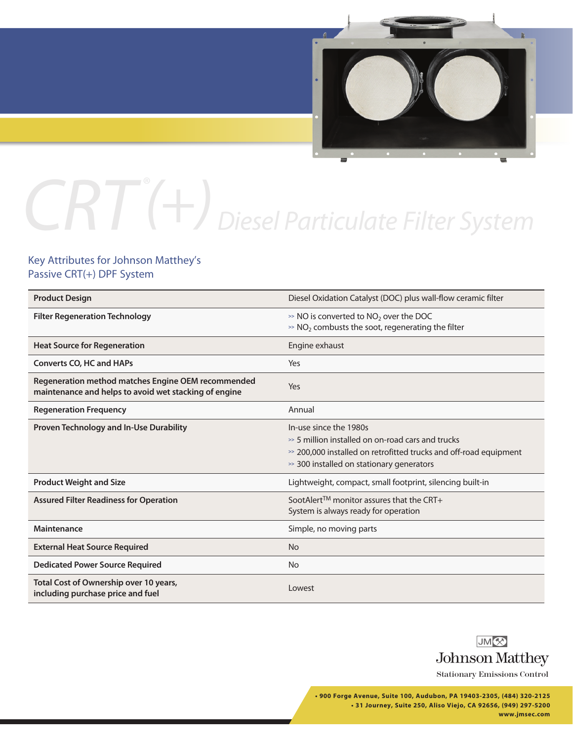

# $CRT^*(+)$  Diesel Particulate Filter System

#### Key Attributes for Johnson Matthey's Passive CRT(+) DPF System

| <b>Product Design</b>                                                                                       | Diesel Oxidation Catalyst (DOC) plus wall-flow ceramic filter                                                                                                                                       |
|-------------------------------------------------------------------------------------------------------------|-----------------------------------------------------------------------------------------------------------------------------------------------------------------------------------------------------|
| <b>Filter Regeneration Technology</b>                                                                       | $\gg$ NO is converted to NO <sub>2</sub> over the DOC<br>$\gg$ NO <sub>2</sub> combusts the soot, regenerating the filter                                                                           |
| <b>Heat Source for Regeneration</b>                                                                         | Engine exhaust                                                                                                                                                                                      |
| <b>Converts CO, HC and HAPs</b>                                                                             | Yes                                                                                                                                                                                                 |
| Regeneration method matches Engine OEM recommended<br>maintenance and helps to avoid wet stacking of engine | Yes                                                                                                                                                                                                 |
| <b>Regeneration Frequency</b>                                                                               | Annual                                                                                                                                                                                              |
| <b>Proven Technology and In-Use Durability</b>                                                              | In-use since the 1980s<br>$\gg$ 5 million installed on on-road cars and trucks<br>$\gg$ 200,000 installed on retrofitted trucks and off-road equipment<br>>> 300 installed on stationary generators |
| <b>Product Weight and Size</b>                                                                              | Lightweight, compact, small footprint, silencing built-in                                                                                                                                           |
| <b>Assured Filter Readiness for Operation</b>                                                               | SootAlert <sup>TM</sup> monitor assures that the CRT+<br>System is always ready for operation                                                                                                       |
| Maintenance                                                                                                 | Simple, no moving parts                                                                                                                                                                             |
| <b>External Heat Source Required</b>                                                                        | <b>No</b>                                                                                                                                                                                           |
| <b>Dedicated Power Source Required</b>                                                                      | <b>No</b>                                                                                                                                                                                           |
| Total Cost of Ownership over 10 years,<br>including purchase price and fuel                                 | Lowest                                                                                                                                                                                              |



Stationary Emissions Control

**• 900 Forge Avenue, Suite 100, Audubon, PA 19403-2305, (484) 320-2125 • 31 Journey, Suite 250, Aliso Viejo, CA 92656, (949) 297-5200 www.jmsec.com**